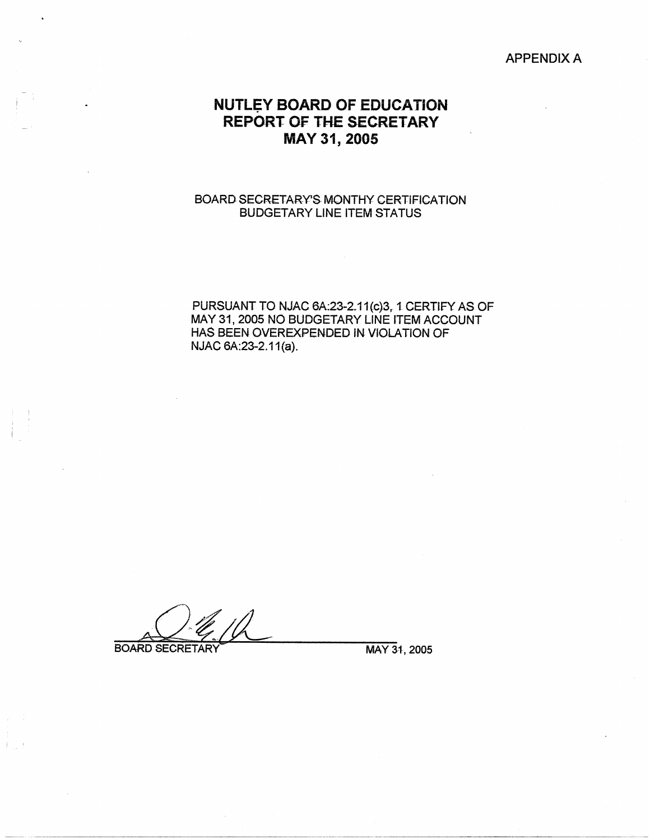#### APPENDIX A

# **NUTLEY BOARD OF EDUCATION REPORT OF THE SECRETARY MAY 31, 2005**

#### BOARD SECRETARY'S MONTHY CERTIFICATION BUDGETARY LINE ITEM STATUS

PURSUANT TO NJAC 6A:23-2.11(c)3, 1 CERTIFY AS OF MAY 31, 2005 NO BUDGETARY LINE ITEM ACCOUNT HAS BEEN OVEREXPENDED IN VJOLA TION OF NJAC 6A: 23-2.11(a).

**BOARD SECRETARY** 

MAY 31, 2005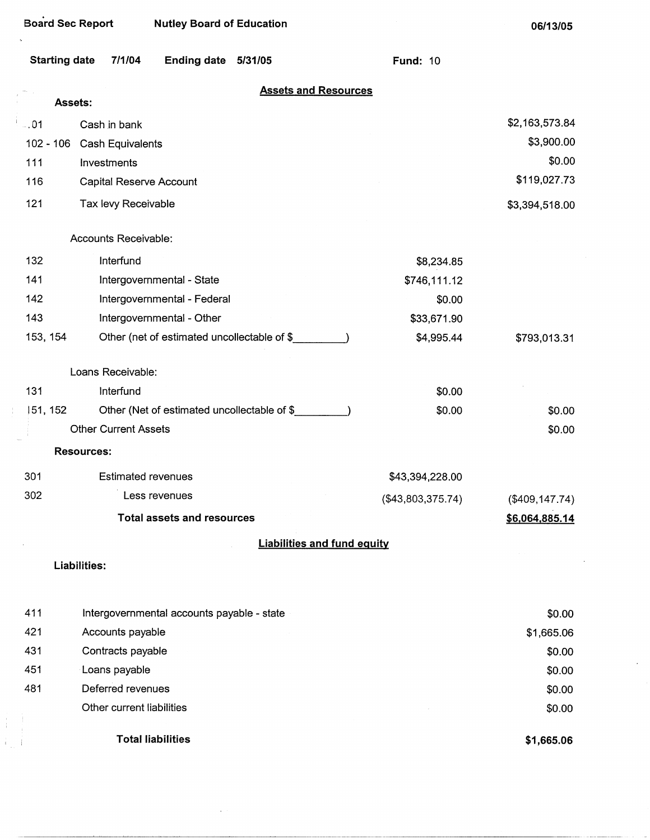| <b>Board Sec Report</b> |                                             | <b>Nutley Board of Education</b>  |                                             |                                    |                   | 06/13/05        |
|-------------------------|---------------------------------------------|-----------------------------------|---------------------------------------------|------------------------------------|-------------------|-----------------|
| <b>Starting date</b>    | 7/1/04                                      | Ending date 5/31/05               |                                             |                                    | <b>Fund: 10</b>   |                 |
|                         | Assets:                                     |                                   | <b>Assets and Resources</b>                 |                                    |                   |                 |
| $-.01$                  | Cash in bank                                |                                   |                                             |                                    |                   | \$2,163,573.84  |
| $102 - 106$             | Cash Equivalents                            |                                   |                                             |                                    |                   | \$3,900.00      |
| 111                     | Investments                                 |                                   |                                             |                                    |                   | \$0.00          |
| 116                     | Capital Reserve Account                     |                                   |                                             |                                    |                   | \$119,027.73    |
| 121                     | Tax levy Receivable                         |                                   |                                             |                                    |                   | \$3,394,518.00  |
|                         | Accounts Receivable:                        |                                   |                                             |                                    |                   |                 |
| 132                     | Interfund                                   |                                   |                                             |                                    | \$8,234.85        |                 |
| 141                     | Intergovernmental - State                   |                                   |                                             |                                    | \$746,111.12      |                 |
| 142                     | Intergovernmental - Federal                 |                                   |                                             |                                    | \$0.00            |                 |
| 143                     | Intergovernmental - Other                   |                                   |                                             |                                    | \$33,671.90       |                 |
| 153, 154                | Other (net of estimated uncollectable of \$ |                                   |                                             |                                    | \$4,995.44        | \$793,013.31    |
|                         | Loans Receivable:                           |                                   |                                             |                                    |                   |                 |
| 131                     | Interfund                                   |                                   |                                             |                                    | \$0.00            |                 |
| 51, 152                 |                                             |                                   | Other (Net of estimated uncollectable of \$ |                                    | \$0.00            | \$0.00          |
|                         | <b>Other Current Assets</b>                 |                                   |                                             |                                    |                   | \$0.00          |
|                         | <b>Resources:</b>                           |                                   |                                             |                                    |                   |                 |
| 301                     | <b>Estimated revenues</b>                   |                                   |                                             |                                    | \$43,394,228.00   |                 |
| 302                     | Less revenues                               |                                   |                                             |                                    | (\$43,803,375.74) | (\$409, 147.74) |
|                         |                                             | <b>Total assets and resources</b> |                                             |                                    |                   | \$6,064,885.14  |
|                         |                                             |                                   |                                             | <b>Liabilities and fund equity</b> |                   |                 |
|                         | Liabilities:                                |                                   |                                             |                                    |                   |                 |
| 411                     | Intergovernmental accounts payable - state  |                                   |                                             |                                    |                   | \$0.00          |
| 421                     | Accounts payable                            |                                   |                                             |                                    |                   | \$1,665.06      |
| 431                     | Contracts payable                           |                                   |                                             |                                    |                   | \$0.00          |
| 451                     | Loans payable                               |                                   |                                             |                                    |                   | \$0.00          |
| 481                     | Deferred revenues                           |                                   |                                             |                                    |                   | \$0.00          |
|                         | Other current liabilities                   |                                   |                                             |                                    |                   | \$0.00          |
|                         | <b>Total liabilities</b>                    |                                   |                                             |                                    |                   | \$1,665.06      |

-----------------------------

 $\bar{\psi}$ 

 $\mathcal{L}^{(1)}$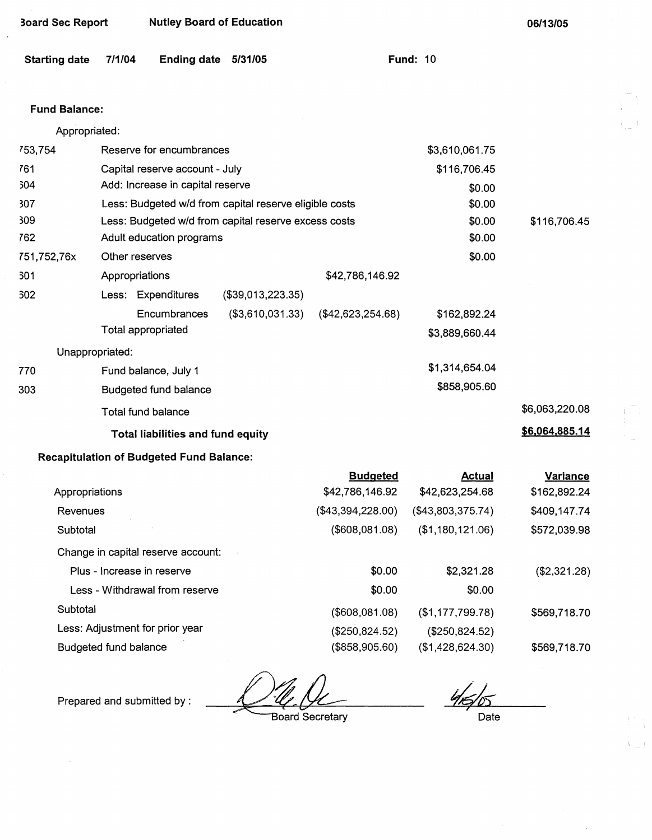| <b>Board Sec Report</b> |                | <b>Nutley Board of Education</b>                |                                                        |                   |                   | 06/13/05        |
|-------------------------|----------------|-------------------------------------------------|--------------------------------------------------------|-------------------|-------------------|-----------------|
| <b>Starting date</b>    | 7/1/04         | Ending date 5/31/05                             |                                                        |                   | <b>Fund: 10</b>   |                 |
| <b>Fund Balance:</b>    |                |                                                 |                                                        |                   |                   |                 |
| Appropriated:           |                |                                                 |                                                        |                   |                   |                 |
| 753,754                 |                | Reserve for encumbrances                        |                                                        |                   | \$3,610,061.75    |                 |
| 761                     |                | Capital reserve account - July                  |                                                        |                   | \$116,706.45      |                 |
| 304                     |                | Add: Increase in capital reserve                |                                                        |                   | \$0.00            |                 |
| 307                     |                |                                                 | Less: Budgeted w/d from capital reserve eligible costs |                   | \$0.00            |                 |
| 309                     |                |                                                 | Less: Budgeted w/d from capital reserve excess costs   |                   | \$0.00            | \$116,706.45    |
| 762                     |                | Adult education programs                        |                                                        |                   | \$0.00            |                 |
| 751,752,76x             | Other reserves |                                                 |                                                        |                   | \$0.00            |                 |
| 301                     | Appropriations |                                                 |                                                        | \$42,786,146.92   |                   |                 |
| <b>302</b>              |                | Less: Expenditures                              | (\$39,013,223.35)                                      |                   |                   |                 |
|                         |                | Encumbrances                                    | (\$3,610,031.33)                                       | (\$42,623,254.68) | \$162,892.24      |                 |
|                         |                | Total appropriated                              |                                                        |                   | \$3,889,660.44    |                 |
| Unappropriated:         |                |                                                 |                                                        |                   |                   |                 |
| 770                     |                | Fund balance, July 1                            |                                                        |                   | \$1,314,654.04    |                 |
| 303                     |                | <b>Budgeted fund balance</b>                    |                                                        |                   | \$858,905.60      |                 |
|                         |                | Total fund balance                              |                                                        |                   |                   | \$6,063,220.08  |
|                         |                | <b>Total liabilities and fund equity</b>        |                                                        |                   |                   | \$6,064,885.14  |
|                         |                | <b>Recapitulation of Budgeted Fund Balance:</b> |                                                        |                   |                   |                 |
|                         |                |                                                 |                                                        | <b>Budgeted</b>   | <b>Actual</b>     | <b>Variance</b> |
| Appropriations          |                |                                                 |                                                        | \$42,786,146.92   | \$42,623,254.68   | \$162,892.24    |
| Revenues                |                |                                                 |                                                        | (\$43,394,228.00) | (\$43,803,375.74) | \$409,147.74    |
| Subtotal                |                |                                                 |                                                        | (\$608,081.08)    | (\$1,180,121.06)  | \$572,039.98    |
|                         |                | Change in capital reserve account:              |                                                        |                   |                   |                 |
|                         |                | Plus - Increase in reserve                      |                                                        | \$0.00            | \$2,321.28        | (\$2,321.28)    |
|                         |                | Less - Withdrawal from reserve                  |                                                        | \$0.00            | \$0.00            |                 |

Subtotal

Less: Adjustment for prior year

Budgeted fund balance

*~IL*  ~ oard Secretary

Prepared and submitted by :

(\$608,081.08) (\$250,824.52) (\$858,905.60)

 $\frac{4}{5}$  Date

(\$1,177,799.78) (\$250,824.52) (\$1,428,624.30) \$569,718.70

\$569,718.70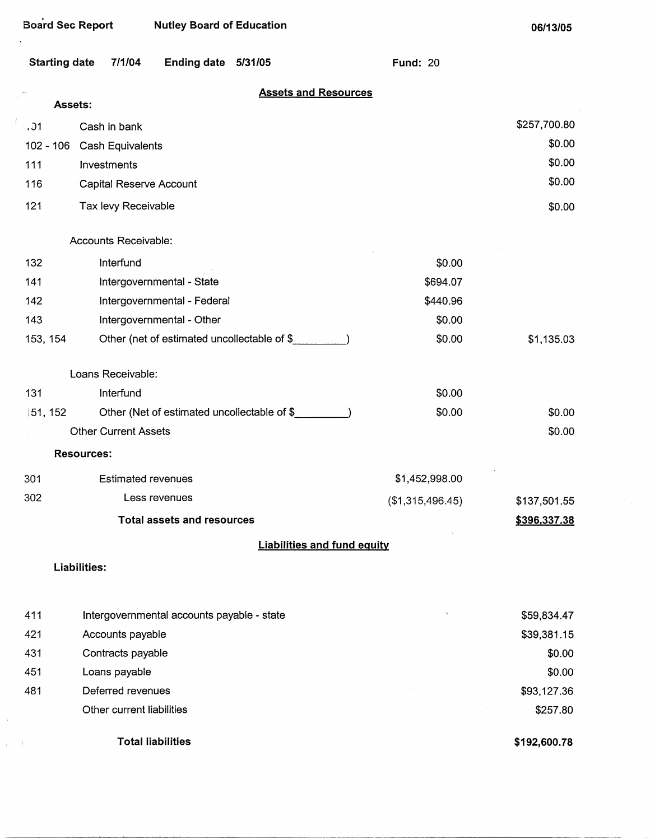$\ddot{\phantom{a}}$ 

 $\frac{1}{4\pi\sqrt{1-\epsilon}}$ 

**06/13/05** 

| Starting date 7/1/04 | Ending date 5/31/05 | <b>Fund: 20</b> |
|----------------------|---------------------|-----------------|
|                      |                     |                 |

#### **Assets and Resources**

|          |             | <b>Assets and Resources</b>                 |                  |              |
|----------|-------------|---------------------------------------------|------------------|--------------|
|          | Assets:     |                                             |                  |              |
| . . 01   |             | Cash in bank                                |                  | \$257,700.80 |
|          | $102 - 106$ | Cash Equivalents                            |                  | \$0.00       |
| 111      |             | Investments                                 |                  | \$0.00       |
| 116      |             | Capital Reserve Account                     |                  | \$0.00       |
| 121      |             | Tax levy Receivable                         |                  | \$0.00       |
|          |             | Accounts Receivable:                        |                  |              |
| 132      |             | Interfund                                   | \$0.00           |              |
| 141      |             | Intergovernmental - State                   | \$694.07         |              |
| 142      |             | Intergovernmental - Federal                 | \$440.96         |              |
| 143      |             | Intergovernmental - Other                   | \$0.00           |              |
| 153, 154 |             | Other (net of estimated uncollectable of \$ | \$0.00           | \$1,135.03   |
|          |             | Loans Receivable:                           |                  |              |
| 131      |             | Interfund                                   | \$0.00           |              |
|          | 151, 152    | Other (Net of estimated uncollectable of \$ | \$0.00           | \$0.00       |
|          |             | <b>Other Current Assets</b>                 |                  | \$0.00       |
|          |             | <b>Resources:</b>                           |                  |              |
| 301      |             | <b>Estimated revenues</b>                   | \$1,452,998.00   |              |
| 302      |             | Less revenues                               | (\$1,315,496.45) | \$137,501.55 |
|          |             | <b>Total assets and resources</b>           |                  | \$396,337.38 |
|          |             | <b>Liabilities and fund equity</b>          |                  |              |
|          |             | <b>Liabilities:</b>                         |                  |              |
| 411      |             | Intergovernmental accounts payable - state  | $\mathbf{v}$     | \$59,834.47  |
| 421      |             | Accounts payable                            |                  | \$39,381.15  |
| 431      |             | Contracts payable                           |                  | \$0.00       |
| 451      |             | Loans payable                               |                  | \$0.00       |
| 481      |             | Deferred revenues                           |                  | \$93,127.36  |
|          |             | Other current liabilities                   |                  | \$257.80     |

**Total liabilities** 

**\$192,600.78**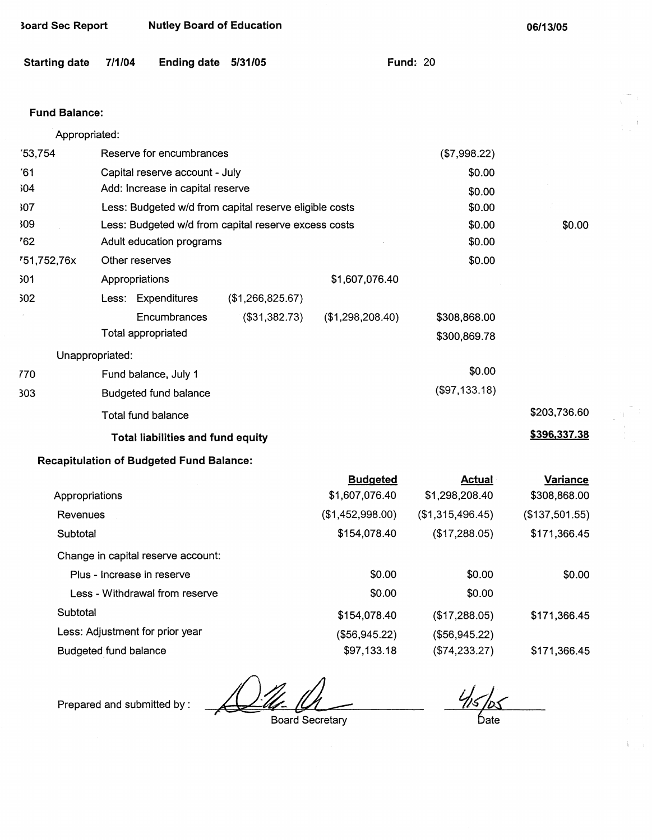| <b>Starting date</b> | 7/1/04<br><b>Ending date</b>                           | 5/31/05          |                  | <b>Fund: 20</b>  |                |
|----------------------|--------------------------------------------------------|------------------|------------------|------------------|----------------|
| <b>Fund Balance:</b> |                                                        |                  |                  |                  |                |
| Appropriated:        |                                                        |                  |                  |                  |                |
| 753,754              | Reserve for encumbrances                               |                  |                  | (\$7,998.22)     |                |
| '61                  | Capital reserve account - July                         |                  |                  | \$0.00           |                |
| 504                  | Add: Increase in capital reserve                       |                  |                  | \$0.00           |                |
| 307                  | Less: Budgeted w/d from capital reserve eligible costs |                  |                  | \$0.00           |                |
| 309                  | Less: Budgeted w/d from capital reserve excess costs   |                  |                  | \$0.00           | \$0.00         |
| '62                  | Adult education programs                               |                  |                  | \$0.00           |                |
| 751,752,76x          | Other reserves                                         |                  |                  | \$0.00           |                |
| 301                  | Appropriations                                         |                  | \$1,607,076.40   |                  |                |
| 302                  | Less: Expenditures                                     | (\$1,266,825.67) |                  |                  |                |
|                      | Encumbrances                                           | (\$31,382.73)    | (\$1,298,208.40) | \$308,868.00     |                |
|                      | <b>Total appropriated</b>                              |                  |                  | \$300,869.78     |                |
|                      | Unappropriated:                                        |                  |                  |                  |                |
| 770                  | Fund balance, July 1                                   |                  |                  | \$0.00           |                |
| 303                  | <b>Budgeted fund balance</b>                           |                  |                  | (\$97,133.18)    |                |
|                      | <b>Total fund balance</b>                              |                  |                  |                  | \$203,736.60   |
|                      | Total liabilities and fund equity                      |                  |                  |                  | \$396,337.38   |
|                      | <b>Recapitulation of Budgeted Fund Balance:</b>        |                  |                  |                  |                |
|                      |                                                        |                  | <b>Budgeted</b>  | <b>Actual</b>    | Variance       |
| Appropriations       |                                                        |                  | \$1,607,076.40   | \$1,298,208.40   | \$308,868.00   |
| Revenues             |                                                        |                  | (\$1,452,998.00) | (\$1,315,496.45) | (\$137,501.55) |
| Subtotal             |                                                        |                  | \$154,078.40     | (\$17,288.05)    | \$171,366.45   |
|                      | Change in capital reserve account:                     |                  |                  |                  |                |
|                      | Plus - Increase in reserve                             |                  | \$0.00           | \$0.00           | \$0.00         |
|                      | Less - Withdrawal from reserve                         |                  | \$0.00           | \$0.00           |                |
| Subtotal             |                                                        |                  | \$154,078.40     | (\$17,288.05)    | \$171,366.45   |
|                      | Less: Adjustment for prior year                        |                  | (\$56,945.22)    | (\$56,945.22)    |                |

Budgeted\_fund balance

Prepared and submitted by :

**3oard Sec Report Nutley Board of Education** 

Board Secretary

Date

\$171,366.45

i ga

**06/13/05** 

(\$74,233.27)

 $\hat{\boldsymbol{\beta}}$ 

\$97,133.18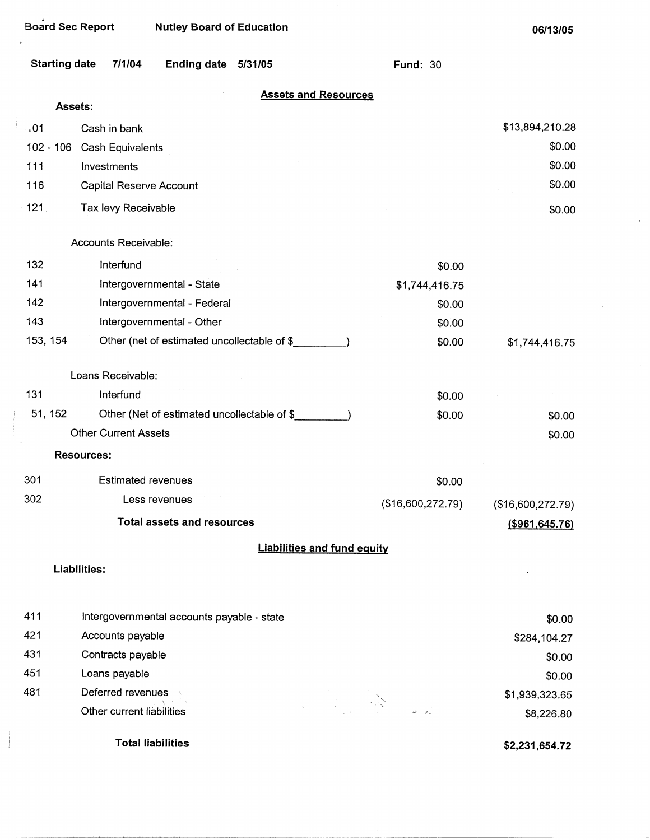$\bar{\gamma}$ 

 $\cdot$  $\overline{1}$  **06/13/05** 

 $\hat{\boldsymbol{\beta}}$ 

|          | <b>Starting date</b><br>7/1/04<br><b>Ending date</b><br>5/31/05 | <b>Fund: 30</b>                    |                   |
|----------|-----------------------------------------------------------------|------------------------------------|-------------------|
|          | Assets:                                                         | <b>Assets and Resources</b>        |                   |
| .01      | Cash in bank                                                    |                                    | \$13,894,210.28   |
|          | 102 - 106 Cash Equivalents                                      |                                    | \$0.00            |
| 111      | Investments                                                     |                                    | \$0.00            |
| 116      | Capital Reserve Account                                         |                                    | \$0.00            |
| 121      | Tax levy Receivable                                             |                                    | \$0.00            |
|          | Accounts Receivable:                                            |                                    |                   |
| 132      | Interfund                                                       | \$0.00                             |                   |
| 141      | Intergovernmental - State                                       | \$1,744,416.75                     |                   |
| 142      | Intergovernmental - Federal                                     | \$0.00                             |                   |
| 143      | Intergovernmental - Other                                       | \$0.00                             |                   |
| 153, 154 | Other (net of estimated uncollectable of \$                     | \$0.00                             | \$1,744,416.75    |
|          | Loans Receivable:                                               |                                    |                   |
| 131      | Interfund                                                       | \$0.00                             |                   |
| 51, 152  | Other (Net of estimated uncollectable of \$__________)          | \$0.00                             | \$0.00            |
|          | <b>Other Current Assets</b>                                     |                                    | \$0.00            |
|          | <b>Resources:</b>                                               |                                    |                   |
| 301      | <b>Estimated revenues</b>                                       | \$0.00                             |                   |
| 302      | Less revenues                                                   | (\$16,600,272.79)                  | (\$16,600,272.79) |
|          | <b>Total assets and resources</b>                               |                                    | ( \$961, 645.76)  |
|          |                                                                 | <b>Liabilities and fund equity</b> |                   |
|          | Liabilities:                                                    |                                    |                   |
| 411      | Intergovernmental accounts payable - state                      |                                    | \$0.00            |
| 421      | Accounts payable                                                |                                    | \$284,104.27      |
| 431      | Contracts payable                                               |                                    | \$0.00            |
| 451      | Loans payable                                                   |                                    | \$0.00            |
| 481      | Deferred revenues                                               |                                    | \$1,939,323.65    |
|          | Other current liabilities                                       |                                    | \$8,226.80        |
|          | <b>Total liabilities</b>                                        |                                    | \$2,231,654.72    |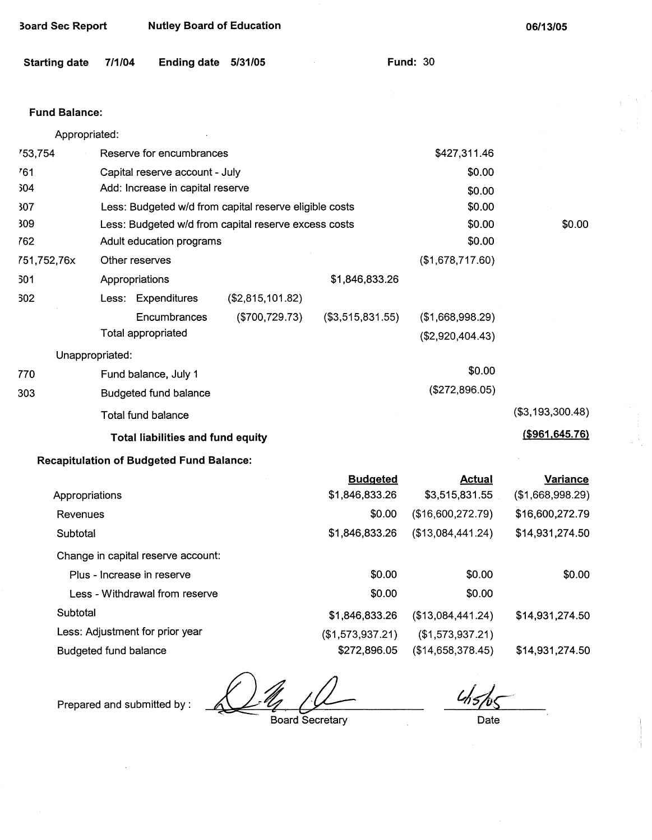| <b>Board Sec Report</b> |                              | <b>Nutley Board of Education</b>                |                                                                                                                |                                   |                                 | 06/13/05                            |
|-------------------------|------------------------------|-------------------------------------------------|----------------------------------------------------------------------------------------------------------------|-----------------------------------|---------------------------------|-------------------------------------|
| <b>Starting date</b>    | 7/1/04                       | <b>Ending date</b>                              | 5/31/05                                                                                                        |                                   | <b>Fund: 30</b>                 |                                     |
|                         |                              |                                                 |                                                                                                                |                                   |                                 |                                     |
| <b>Fund Balance:</b>    |                              |                                                 |                                                                                                                |                                   |                                 |                                     |
| Appropriated:           |                              |                                                 |                                                                                                                |                                   |                                 |                                     |
| 753,754                 |                              | Reserve for encumbrances                        |                                                                                                                |                                   | \$427,311.46                    |                                     |
| 761                     |                              | Capital reserve account - July                  |                                                                                                                |                                   | \$0.00                          |                                     |
| 304                     |                              | Add: Increase in capital reserve                |                                                                                                                |                                   | \$0.00                          |                                     |
| 307<br>309              |                              |                                                 | Less: Budgeted w/d from capital reserve eligible costs<br>Less: Budgeted w/d from capital reserve excess costs |                                   | \$0.00<br>\$0.00                | \$0.00                              |
| 762                     |                              | Adult education programs                        |                                                                                                                |                                   | \$0.00                          |                                     |
| 751,752,76x             | Other reserves               |                                                 |                                                                                                                |                                   | (\$1,678,717.60)                |                                     |
| 301                     | Appropriations               |                                                 |                                                                                                                | \$1,846,833.26                    |                                 |                                     |
| 302                     |                              | Less: Expenditures                              | (\$2,815,101.82)                                                                                               |                                   |                                 |                                     |
|                         |                              | Encumbrances                                    | (\$700, 729.73)                                                                                                | (\$3,515,831.55)                  | (\$1,668,998.29)                |                                     |
|                         | <b>Total appropriated</b>    |                                                 |                                                                                                                |                                   | (\$2,920,404.43)                |                                     |
|                         | Unappropriated:              |                                                 |                                                                                                                |                                   |                                 |                                     |
| 770                     |                              | Fund balance, July 1                            |                                                                                                                |                                   | \$0.00                          |                                     |
| 303                     |                              | Budgeted fund balance                           |                                                                                                                |                                   | (\$272,896.05)                  |                                     |
|                         |                              | <b>Total fund balance</b>                       |                                                                                                                |                                   |                                 | (\$3,193,300.48)                    |
|                         |                              | <b>Total liabilities and fund equity</b>        |                                                                                                                |                                   |                                 | $($ \$961,645.76)                   |
|                         |                              | <b>Recapitulation of Budgeted Fund Balance:</b> |                                                                                                                |                                   |                                 |                                     |
| Appropriations          |                              |                                                 |                                                                                                                | <b>Budgeted</b><br>\$1,846,833.26 | <b>Actual</b><br>\$3,515,831.55 | <b>Variance</b><br>(\$1,668,998.29) |
| Revenues                |                              |                                                 |                                                                                                                | \$0.00                            | (\$16,600,272.79)               | \$16,600,272.79                     |
| Subtotal                |                              |                                                 |                                                                                                                | \$1,846,833.26                    | (\$13,084,441.24)               | \$14,931,274.50                     |
|                         |                              | Change in capital reserve account:              |                                                                                                                |                                   |                                 |                                     |
|                         | Plus - Increase in reserve   |                                                 |                                                                                                                | \$0.00                            | \$0.00                          | \$0.00                              |
|                         |                              | Less - Withdrawal from reserve                  |                                                                                                                | \$0.00                            | \$0.00                          |                                     |
| Subtotal                |                              |                                                 |                                                                                                                | \$1,846,833.26                    | (\$13,084,441.24)               | \$14,931,274.50                     |
|                         |                              | Less: Adjustment for prior year                 |                                                                                                                | (\$1,573,937.21)                  | (\$1,573,937.21)                |                                     |
|                         | <b>Budgeted fund balance</b> |                                                 |                                                                                                                | \$272,896.05                      | (\$14,658,378.45)               | \$14,931,274.50                     |

Budgeted fund balance

Prepared and submitted by :

Board Secretary

Date

 $\pm$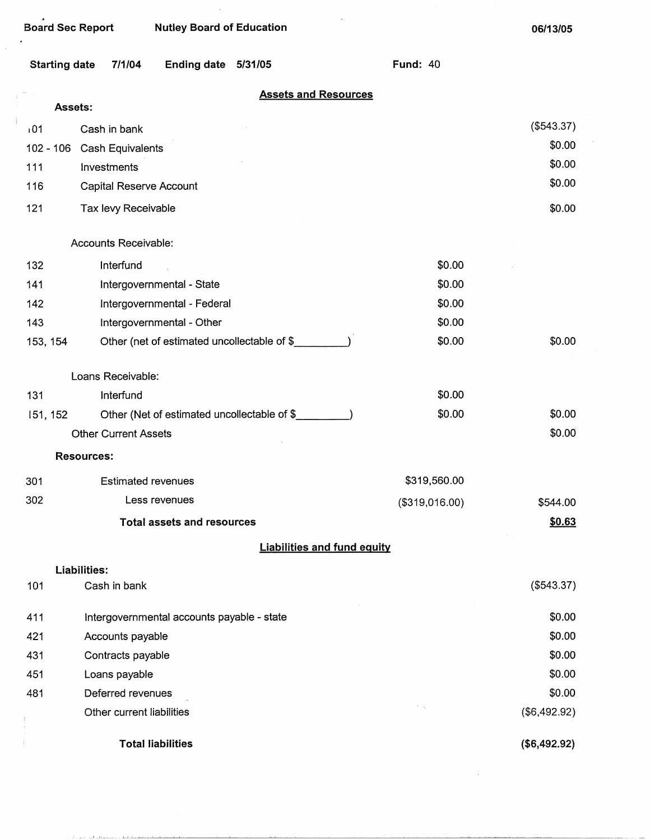فالأمنطقط فالملاط والمتحقق الأحامي المحارفين

 $\epsilon$ 

**06/13/05** 

 $\lambda$ 

| <b>Starting date</b> | 7/1/04                                      | Ending date 5/31/05 |                                    | <b>Fund: 40</b> |              |
|----------------------|---------------------------------------------|---------------------|------------------------------------|-----------------|--------------|
|                      | Assets:                                     |                     | <b>Assets and Resources</b>        |                 |              |
| 101                  |                                             |                     |                                    |                 | (\$543.37)   |
| $102 - 106$          | Cash in bank                                |                     |                                    |                 | \$0.00       |
| 111                  | Cash Equivalents<br>Investments             |                     |                                    |                 | \$0.00       |
| 116                  | Capital Reserve Account                     |                     |                                    |                 | \$0.00       |
| 121                  | Tax levy Receivable                         |                     |                                    |                 | \$0.00       |
|                      |                                             |                     |                                    |                 |              |
|                      | Accounts Receivable:                        |                     |                                    |                 |              |
| 132                  | Interfund                                   |                     |                                    | \$0.00          |              |
| 141                  | Intergovernmental - State                   |                     |                                    | \$0.00          |              |
| 142                  | Intergovernmental - Federal                 |                     |                                    | \$0.00          |              |
| 143                  | Intergovernmental - Other                   |                     |                                    | \$0.00          |              |
| 153, 154             | Other (net of estimated uncollectable of \$ |                     |                                    | \$0.00          | \$0.00       |
|                      | Loans Receivable:                           |                     |                                    |                 |              |
| 131                  | Interfund                                   |                     |                                    | \$0.00          |              |
| 151, 152             | Other (Net of estimated uncollectable of \$ |                     |                                    | \$0.00          | \$0.00       |
|                      | <b>Other Current Assets</b>                 |                     |                                    |                 | \$0.00       |
|                      | <b>Resources:</b>                           |                     |                                    |                 |              |
| 301                  | <b>Estimated revenues</b>                   |                     |                                    | \$319,560.00    |              |
| 302                  | Less revenues                               |                     |                                    | (\$319,016.00)  | \$544.00     |
|                      | <b>Total assets and resources</b>           |                     |                                    |                 | \$0.63       |
|                      |                                             |                     | <b>Liabilities and fund equity</b> |                 |              |
|                      | Liabilities:                                |                     |                                    |                 |              |
| 101                  | Cash in bank                                |                     |                                    |                 | (\$543.37)   |
| 411                  | Intergovernmental accounts payable - state  |                     |                                    |                 | \$0.00       |
| 421                  | Accounts payable                            |                     |                                    |                 | \$0.00       |
| 431                  | Contracts payable                           |                     |                                    |                 | \$0.00       |
| 451                  | Loans payable                               |                     |                                    |                 | \$0.00       |
| 481                  | Deferred revenues                           |                     |                                    |                 | \$0.00       |
|                      | Other current liabilities                   |                     |                                    |                 | (\$6,492.92) |
|                      | <b>Total liabilities</b>                    |                     |                                    |                 | (\$6,492.92) |

 $\sim$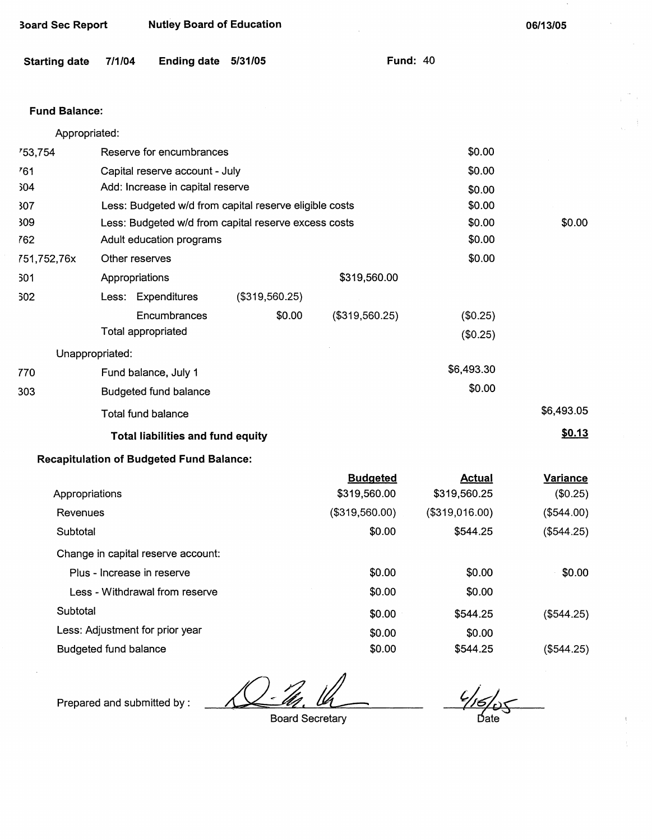| <b>Board Sec Report</b> |        | <b>Nutley Board of Education</b>                       |                |                |                 | 06/13/05   |
|-------------------------|--------|--------------------------------------------------------|----------------|----------------|-----------------|------------|
| <b>Starting date</b>    | 7/1/04 | Ending date 5/31/05                                    |                |                | <b>Fund: 40</b> |            |
| <b>Fund Balance:</b>    |        |                                                        |                |                |                 |            |
| Appropriated:           |        |                                                        |                |                |                 |            |
| 753,754                 |        | Reserve for encumbrances                               |                |                | \$0.00          |            |
| 761                     |        | Capital reserve account - July                         |                |                | \$0.00          |            |
| 304                     |        | Add: Increase in capital reserve                       |                |                | \$0.00          |            |
| 307                     |        | Less: Budgeted w/d from capital reserve eligible costs | \$0.00         |                |                 |            |
| 309                     |        | Less: Budgeted w/d from capital reserve excess costs   | \$0.00         | \$0.00         |                 |            |
| 762                     |        | Adult education programs                               |                |                | \$0.00          |            |
| 751,752,76x             |        | Other reserves                                         |                |                | \$0.00          |            |
| 301                     |        | Appropriations                                         |                | \$319,560.00   |                 |            |
| 302                     |        | Less: Expenditures                                     | (\$319,560.25) |                |                 |            |
|                         |        | Encumbrances                                           | \$0.00         | (\$319,560.25) | (\$0.25)        |            |
|                         |        | Total appropriated                                     |                |                | (\$0.25)        |            |
| Unappropriated:         |        |                                                        |                |                |                 |            |
| 770                     |        | Fund balance, July 1                                   |                |                | \$6,493.30      |            |
| 303                     |        | <b>Budgeted fund balance</b>                           |                |                | \$0.00          |            |
|                         |        | <b>Total fund balance</b>                              |                |                |                 | \$6,493.05 |
|                         |        | <b>Total liabilities and fund equity</b>               |                |                |                 | \$0.13     |
|                         |        | <b>Recapitulation of Budgeted Fund Balance:</b>        |                |                |                 |            |

|                                    | <b>Budgeted</b> | <b>Actual</b>  | <b>Variance</b> |
|------------------------------------|-----------------|----------------|-----------------|
| Appropriations                     | \$319,560.00    | \$319,560.25   | (\$0.25)        |
| Revenues                           | (\$319,560.00)  | (\$319,016.00) | (\$544.00)      |
| Subtotal                           | \$0.00          | \$544.25       | (\$544.25)      |
| Change in capital reserve account: |                 |                |                 |
| Plus - Increase in reserve         | \$0.00          | \$0.00         | \$0.00          |
| Less - Withdrawal from reserve     | \$0.00          | \$0.00         |                 |
| Subtotal                           | \$0.00          | \$544.25       | (S544.25)       |
| Less: Adjustment for prior year    | \$0.00          | \$0.00         |                 |
| <b>Budgeted fund balance</b>       | \$0.00          | \$544.25       | $($ \$544.25)   |

<u>Legendal</u><br>Board Secretary

Prepared and submitted by :

 $\bar{z}$ 

 $\frac{4}{\sqrt{5}}$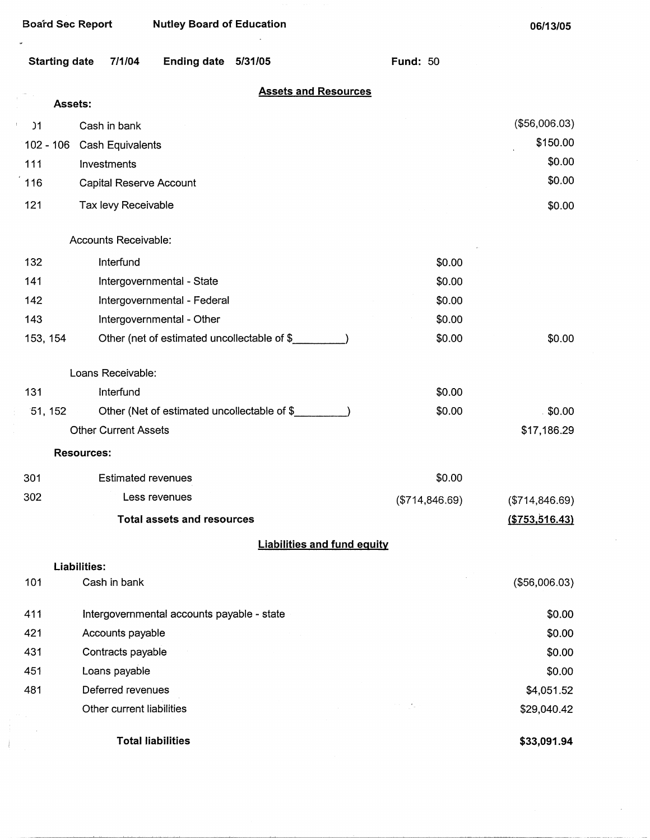Į,

 $\mathcal{A}$ 

| Starting date 7/1/04 |  | Ending date 5/31/05 |  |  |
|----------------------|--|---------------------|--|--|
|----------------------|--|---------------------|--|--|

### **Assets and Resources**

**Fund:** 50

| Assets:         |                                             |                 |                  |
|-----------------|---------------------------------------------|-----------------|------------------|
| $\overline{)1}$ | Cash in bank                                |                 | (\$56,006.03)    |
| $102 - 106$     | Cash Equivalents                            |                 | \$150.00         |
| 111             | Investments                                 |                 | \$0.00           |
| 116             | Capital Reserve Account                     |                 | \$0.00           |
| 121             | Tax levy Receivable                         |                 | \$0.00           |
|                 | Accounts Receivable:                        |                 |                  |
| 132             | Interfund                                   | \$0.00          |                  |
| 141             | Intergovernmental - State                   | \$0.00          |                  |
| 142             | Intergovernmental - Federal                 | \$0.00          |                  |
| 143             | Intergovernmental - Other                   | \$0.00          |                  |
| 153, 154        | Other (net of estimated uncollectable of \$ | \$0.00          | \$0.00           |
|                 | Loans Receivable:                           |                 |                  |
| 131             | Interfund                                   | \$0.00          |                  |
| 51, 152         | Other (Net of estimated uncollectable of \$ | \$0.00          | 50.00            |
|                 | <b>Other Current Assets</b>                 |                 | \$17,186.29      |
|                 | <b>Resources:</b>                           |                 |                  |
| 301             | <b>Estimated revenues</b>                   | \$0.00          |                  |
| 302             | Less revenues                               | (\$714, 846.69) | (\$714, 846.69)  |
|                 | <b>Total assets and resources</b>           |                 | ( \$753, 516.43) |
|                 | <b>Liabilities and fund equity</b>          |                 |                  |
|                 | <b>Liabilities:</b>                         |                 |                  |
| 101             | Cash in bank                                |                 | (\$56,006.03)    |
| 411             | Intergovernmental accounts payable - state  |                 | \$0.00           |
| 421             | Accounts payable                            |                 | \$0.00           |
| 431             | Contracts payable                           |                 | \$0.00           |
| 451             | Loans payable                               |                 | \$0.00           |
| 481             | Deferred revenues                           |                 | \$4,051.52       |
|                 | Other current liabilities                   | ministra        | \$29,040.42      |
|                 | <b>Total liabilities</b>                    |                 | \$33,091.94      |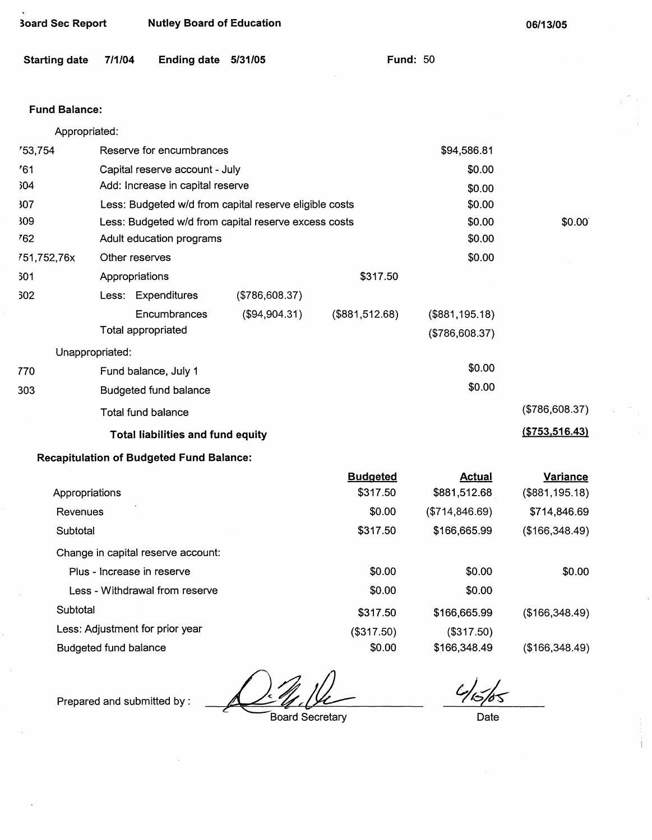| <b>Starting date</b> | 7/1/04<br>Ending date 5/31/05                          |                | <b>Fund: 50</b> |                 |                  |
|----------------------|--------------------------------------------------------|----------------|-----------------|-----------------|------------------|
| <b>Fund Balance:</b> |                                                        |                |                 |                 |                  |
| Appropriated:        |                                                        |                |                 |                 |                  |
| 753,754              | Reserve for encumbrances                               |                |                 | \$94,586.81     |                  |
| 761                  | Capital reserve account - July                         |                |                 | \$0.00          |                  |
| 304                  | Add: Increase in capital reserve                       |                |                 | \$0.00          |                  |
| 307                  | Less: Budgeted w/d from capital reserve eligible costs |                |                 | \$0.00          |                  |
| 309                  | Less: Budgeted w/d from capital reserve excess costs   |                |                 | \$0.00          | \$0.00           |
| 762                  | \$0.00<br>Adult education programs                     |                |                 |                 |                  |
| 751,752,76x          | Other reserves                                         |                |                 | \$0.00          |                  |
| 301                  | Appropriations                                         |                | \$317.50        |                 |                  |
| 302                  | Less: Expenditures                                     | (\$786,608.37) |                 |                 |                  |
|                      | Encumbrances                                           | (\$94,904.31)  | (\$881,512.68)  | (\$881,195.18)  |                  |
|                      | Total appropriated                                     |                |                 | (\$786,608.37)  |                  |
| Unappropriated:      |                                                        |                |                 |                 |                  |
| 770                  | Fund balance, July 1                                   |                |                 | \$0.00          |                  |
| 303                  | <b>Budgeted fund balance</b>                           |                |                 | \$0.00          |                  |
|                      | Total fund balance                                     |                |                 |                 | (\$786,608.37)   |
|                      | <b>Total liabilities and fund equity</b>               |                |                 |                 | ( \$753, 516.43) |
|                      | <b>Recapitulation of Budgeted Fund Balance:</b>        |                |                 |                 |                  |
|                      |                                                        |                | <b>Budgeted</b> | <b>Actual</b>   | <b>Variance</b>  |
| Appropriations       |                                                        |                | \$317.50        | \$881,512.68    | (\$881,195.18)   |
| Revenues             |                                                        |                | \$0.00          | (\$714, 846.69) | \$714,846.69     |
| Subtotal             |                                                        |                | \$317.50        | \$166,665.99    | (\$166,348.49)   |
|                      | Change in capital reserve account:                     |                |                 |                 |                  |

Plus - Increase in reserve Less - Withdrawal from reserve **Subtotal** Less: Adjustment for prior year \$0.00 \$0.00 \$317.50 (\$317.50) \$0.00 \$0.00 \$0.00 \$166,665.99 (\$317.50) \$166,348.49 (\$166,348.49) (\$166,348.49)

Budgeted fund balance

**~oard Sec Report Nutley Board of Education** 

Prepared and submitted by :

Board Secretary

 $\frac{c}{\frac{1}{5}}$ 

\$0.00

**06/13/05** 

Date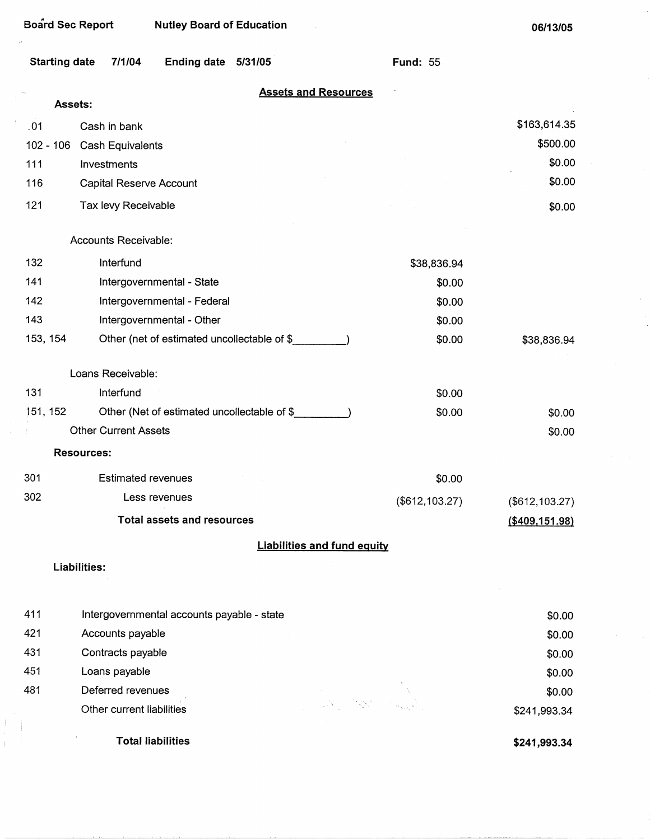| Starting date 7/1/04 | Ending date 5/31/05 | <b>Fund: 55</b> |  |
|----------------------|---------------------|-----------------|--|
|                      |                     |                 |  |

## **Assets and Resources**

|             | Assets: |                                             |                   |                   |
|-------------|---------|---------------------------------------------|-------------------|-------------------|
| .01         |         | Cash in bank                                |                   | \$163,614.35      |
| $102 - 106$ |         | Cash Equivalents                            |                   | \$500.00          |
| 111         |         | Investments                                 |                   | \$0.00            |
| 116         |         | Capital Reserve Account                     |                   | \$0.00            |
| 121         |         | Tax levy Receivable                         |                   | \$0.00            |
|             |         | Accounts Receivable:                        |                   |                   |
| 132         |         | Interfund                                   | \$38,836.94       |                   |
| 141         |         | Intergovernmental - State                   | \$0.00            |                   |
| 142         |         | Intergovernmental - Federal                 | \$0.00            |                   |
| 143         |         | Intergovernmental - Other                   | \$0.00            |                   |
| 153, 154    |         | Other (net of estimated uncollectable of \$ | \$0.00            | \$38,836.94       |
|             |         | Loans Receivable:                           |                   |                   |
| 131         |         | Interfund                                   | \$0.00            |                   |
| 151, 152    |         | Other (Net of estimated uncollectable of \$ | \$0.00            | \$0.00            |
|             |         | <b>Other Current Assets</b>                 |                   | \$0.00            |
|             |         | <b>Resources:</b>                           |                   |                   |
| 301         |         | <b>Estimated revenues</b>                   | \$0.00            |                   |
| 302         |         | Less revenues                               | $(\$612, 103.27)$ | $(\$612, 103.27)$ |
|             |         | <b>Total assets and resources</b>           |                   | (\$409,151.98)    |
|             |         | <b>Liabilities and fund equity</b>          |                   |                   |
|             |         | Liabilities:                                |                   |                   |
| 411         |         | Intergovernmental accounts payable - state  |                   | \$0.00            |
| 421         |         | Accounts payable                            |                   | \$0.00            |

| 431 | Contracts payable         |                                                                                                                                                                                                                                | \$0.00       |
|-----|---------------------------|--------------------------------------------------------------------------------------------------------------------------------------------------------------------------------------------------------------------------------|--------------|
| 451 | Loans payable             |                                                                                                                                                                                                                                | \$0.00       |
| 481 | Deferred revenues         |                                                                                                                                                                                                                                | \$0.00       |
|     | Other current liabilities | and the second of the second of the second of the second of the second of the second of the second of the second of the second of the second of the second of the second of the second of the second of the second of the seco | \$241,993.34 |
|     |                           |                                                                                                                                                                                                                                |              |

Total liabilities

Ť

**\$241,993.34**